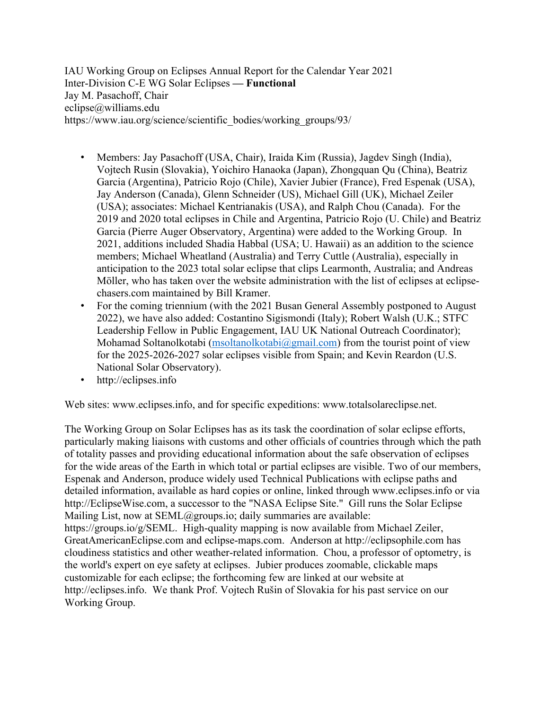IAU Working Group on Eclipses Annual Report for the Calendar Year 2021 Inter-Division C-E WG Solar Eclipses **— Functional** Jay M. Pasachoff, Chair eclipse@williams.edu https://www.iau.org/science/scientific\_bodies/working\_groups/93/

- Members: Jay Pasachoff (USA, Chair), Iraida Kim (Russia), Jagdev Singh (India), Vojtech Rusin (Slovakia), Yoichiro Hanaoka (Japan), Zhongquan Qu (China), Beatriz Garcia (Argentina), Patricio Rojo (Chile), Xavier Jubier (France), Fred Espenak (USA), Jay Anderson (Canada), Glenn Schneider (US), Michael Gill (UK), Michael Zeiler (USA); associates: Michael Kentrianakis (USA), and Ralph Chou (Canada). For the 2019 and 2020 total eclipses in Chile and Argentina, Patricio Rojo (U. Chile) and Beatriz Garcia (Pierre Auger Observatory, Argentina) were added to the Working Group. In 2021, additions included Shadia Habbal (USA; U. Hawaii) as an addition to the science members; Michael Wheatland (Australia) and Terry Cuttle (Australia), especially in anticipation to the 2023 total solar eclipse that clips Learmonth, Australia; and Andreas Möller, who has taken over the website administration with the list of eclipses at eclipsechasers.com maintained by Bill Kramer.
- For the coming triennium (with the 2021 Busan General Assembly postponed to August 2022), we have also added: Costantino Sigismondi (Italy); Robert Walsh (U.K.; STFC Leadership Fellow in Public Engagement, IAU UK National Outreach Coordinator); Mohamad Soltanolkotabi (msoltanolkotabi $@g$ mail.com) from the tourist point of view for the 2025-2026-2027 solar eclipses visible from Spain; and Kevin Reardon (U.S. National Solar Observatory).
- http://eclipses.info

Web sites: www.eclipses.info, and for specific expeditions: www.totalsolareclipse.net.

The Working Group on Solar Eclipses has as its task the coordination of solar eclipse efforts, particularly making liaisons with customs and other officials of countries through which the path of totality passes and providing educational information about the safe observation of eclipses for the wide areas of the Earth in which total or partial eclipses are visible. Two of our members, Espenak and Anderson, produce widely used Technical Publications with eclipse paths and detailed information, available as hard copies or online, linked through www.eclipses.info or via http://EclipseWise.com, a successor to the "NASA Eclipse Site." Gill runs the Solar Eclipse Mailing List, now at SEML@groups.io; daily summaries are available: https://groups.io/g/SEML. High-quality mapping is now available from Michael Zeiler, GreatAmericanEclipse.com and eclipse-maps.com. Anderson at http://eclipsophile.com has cloudiness statistics and other weather-related information. Chou, a professor of optometry, is the world's expert on eye safety at eclipses. Jubier produces zoomable, clickable maps customizable for each eclipse; the forthcoming few are linked at our website at http://eclipses.info. We thank Prof. Vojtech Rušin of Slovakia for his past service on our Working Group.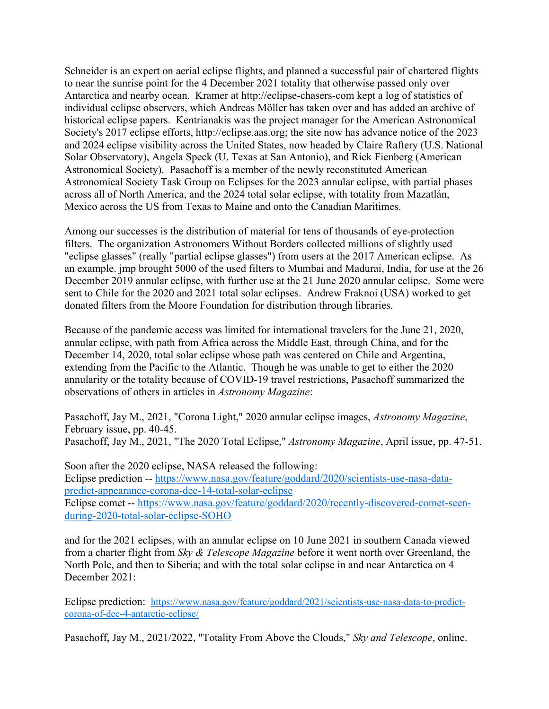Schneider is an expert on aerial eclipse flights, and planned a successful pair of chartered flights to near the sunrise point for the 4 December 2021 totality that otherwise passed only over Antarctica and nearby ocean. Kramer at http://eclipse-chasers-com kept a log of statistics of individual eclipse observers, which Andreas Möller has taken over and has added an archive of historical eclipse papers. Kentrianakis was the project manager for the American Astronomical Society's 2017 eclipse efforts, http://eclipse.aas.org; the site now has advance notice of the 2023 and 2024 eclipse visibility across the United States, now headed by Claire Raftery (U.S. National Solar Observatory), Angela Speck (U. Texas at San Antonio), and Rick Fienberg (American Astronomical Society). Pasachoff is a member of the newly reconstituted American Astronomical Society Task Group on Eclipses for the 2023 annular eclipse, with partial phases across all of North America, and the 2024 total solar eclipse, with totality from Mazatlán, Mexico across the US from Texas to Maine and onto the Canadian Maritimes.

Among our successes is the distribution of material for tens of thousands of eye-protection filters. The organization Astronomers Without Borders collected millions of slightly used "eclipse glasses" (really "partial eclipse glasses") from users at the 2017 American eclipse. As an example. jmp brought 5000 of the used filters to Mumbai and Madurai, India, for use at the 26 December 2019 annular eclipse, with further use at the 21 June 2020 annular eclipse. Some were sent to Chile for the 2020 and 2021 total solar eclipses. Andrew Fraknoi (USA) worked to get donated filters from the Moore Foundation for distribution through libraries.

Because of the pandemic access was limited for international travelers for the June 21, 2020, annular eclipse, with path from Africa across the Middle East, through China, and for the December 14, 2020, total solar eclipse whose path was centered on Chile and Argentina, extending from the Pacific to the Atlantic. Though he was unable to get to either the 2020 annularity or the totality because of COVID-19 travel restrictions, Pasachoff summarized the observations of others in articles in *Astronomy Magazine*:

Pasachoff, Jay M., 2021, "Corona Light," 2020 annular eclipse images, *Astronomy Magazine*, February issue, pp. 40-45.

Pasachoff, Jay M., 2021, "The 2020 Total Eclipse," *Astronomy Magazine*, April issue, pp. 47-51.

Soon after the 2020 eclipse, NASA released the following: Eclipse prediction -- https://www.nasa.gov/feature/goddard/2020/scientists-use-nasa-datapredict-appearance-corona-dec-14-total-solar-eclipse Eclipse comet -- https://www.nasa.gov/feature/goddard/2020/recently-discovered-comet-seen-

during-2020-total-solar-eclipse-SOHO

and for the 2021 eclipses, with an annular eclipse on 10 June 2021 in southern Canada viewed from a charter flight from *Sky & Telescope Magazine* before it went north over Greenland, the North Pole, and then to Siberia; and with the total solar eclipse in and near Antarctica on 4 December 2021:

Eclipse prediction: https://www.nasa.gov/feature/goddard/2021/scientists-use-nasa-data-to-predictcorona-of-dec-4-antarctic-eclipse/

Pasachoff, Jay M., 2021/2022, "Totality From Above the Clouds," *Sky and Telescope*, online.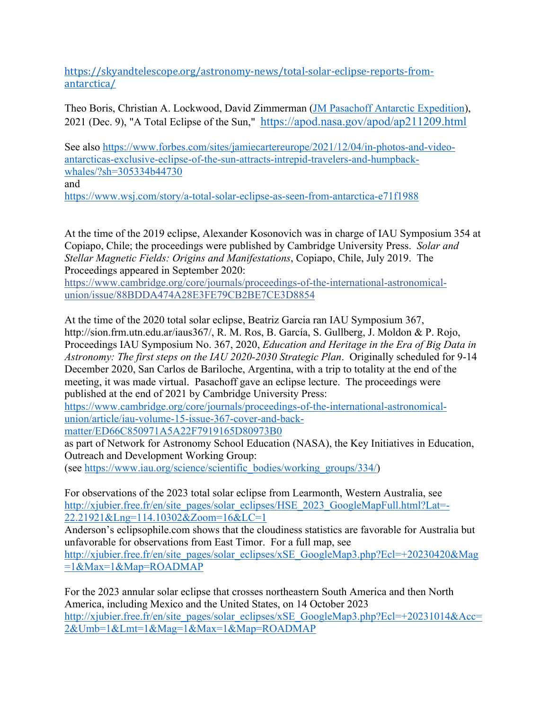https://skyandtelescope.org/astronomy-news/total-solar-eclipse-reports-fromantarctica/

Theo Boris, Christian A. Lockwood, David Zimmerman (JM Pasachoff Antarctic Expedition), 2021 (Dec. 9), "A Total Eclipse of the Sun," https://apod.nasa.gov/apod/ap211209.html

See also https://www.forbes.com/sites/jamiecartereurope/2021/12/04/in-photos-and-videoantarcticas-exclusive-eclipse-of-the-sun-attracts-intrepid-travelers-and-humpbackwhales/?sh=305334b44730 and

https://www.wsj.com/story/a-total-solar-eclipse-as-seen-from-antarctica-e71f1988

At the time of the 2019 eclipse, Alexander Kosonovich was in charge of IAU Symposium 354 at Copiapo, Chile; the proceedings were published by Cambridge University Press. *Solar and Stellar Magnetic Fields: Origins and Manifestations*, Copiapo, Chile, July 2019. The Proceedings appeared in September 2020:

https://www.cambridge.org/core/journals/proceedings-of-the-international-astronomicalunion/issue/88BDDA474A28E3FE79CB2BE7CE3D8854

At the time of the 2020 total solar eclipse, Beatriz Garcia ran IAU Symposium 367, http://sion.frm.utn.edu.ar/iaus367/, R. M. Ros, B. García, S. Gullberg, J. Moldon & P. Rojo, Proceedings IAU Symposium No. 367, 2020, *Education and Heritage in the Era of Big Data in Astronomy: The first steps on the IAU 2020-2030 Strategic Plan*. Originally scheduled for 9-14 December 2020, San Carlos de Bariloche, Argentina, with a trip to totality at the end of the meeting, it was made virtual. Pasachoff gave an eclipse lecture. The proceedings were published at the end of 2021 by Cambridge University Press:

https://www.cambridge.org/core/journals/proceedings-of-the-international-astronomicalunion/article/iau-volume-15-issue-367-cover-and-back-

matter/ED66C850971A5A22F7919165D80973B0

as part of Network for Astronomy School Education (NASA), the Key Initiatives in Education, Outreach and Development Working Group: (see https://www.iau.org/science/scientific\_bodies/working\_groups/334/)

For observations of the 2023 total solar eclipse from Learmonth, Western Australia, see http://xjubier.free.fr/en/site\_pages/solar\_eclipses/HSE\_2023\_GoogleMapFull.html?Lat=-22.21921&Lng=114.10302&Zoom=16&LC=1

Anderson's eclipsophile.com shows that the cloudiness statistics are favorable for Australia but unfavorable for observations from East Timor. For a full map, see http://xjubier.free.fr/en/site\_pages/solar\_eclipses/xSE\_GoogleMap3.php?Ecl=+20230420&Mag =1&Max=1&Map=ROADMAP

For the 2023 annular solar eclipse that crosses northeastern South America and then North America, including Mexico and the United States, on 14 October 2023 http://xjubier.free.fr/en/site\_pages/solar\_eclipses/xSE\_GoogleMap3.php?Ecl=+20231014&Acc= 2&Umb=1&Lmt=1&Mag=1&Max=1&Map=ROADMAP